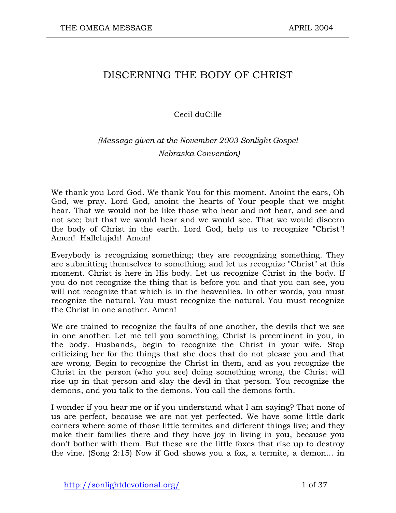# DISCERNING THE BODY OF CHRIST

#### Cecil duCille

## *(Message given at the November 2003 Sonlight Gospel Nebraska Convention)*

We thank you Lord God. We thank You for this moment. Anoint the ears, Oh God, we pray. Lord God, anoint the hearts of Your people that we might hear. That we would not be like those who hear and not hear, and see and not see; but that we would hear and we would see. That we would discern the body of Christ in the earth. Lord God, help us to recognize "Christ"! Amen! Hallelujah! Amen!

Everybody is recognizing something; they are recognizing something. They are submitting themselves to something; and let us recognize "Christ" at this moment. Christ is here in His body. Let us recognize Christ in the body. If you do not recognize the thing that is before you and that you can see, you will not recognize that which is in the heavenlies. In other words, you must recognize the natural. You must recognize the natural. You must recognize the Christ in one another. Amen!

We are trained to recognize the faults of one another, the devils that we see in one another. Let me tell you something, Christ is preeminent in you, in the body. Husbands, begin to recognize the Christ in your wife. Stop criticizing her for the things that she does that do not please you and that are wrong. Begin to recognize the Christ in them, and as you recognize the Christ in the person (who you see) doing something wrong, the Christ will rise up in that person and slay the devil in that person. You recognize the demons, and you talk to the demons. You call the demons forth.

I wonder if you hear me or if you understand what I am saying? That none of us are perfect, because we are not yet perfected. We have some little dark corners where some of those little termites and different things live; and they make their families there and they have joy in living in you, because you don't bother with them. But these are the little foxes that rise up to destroy the vine. (Song 2:15) Now if God shows you a fox, a termite, a demon... in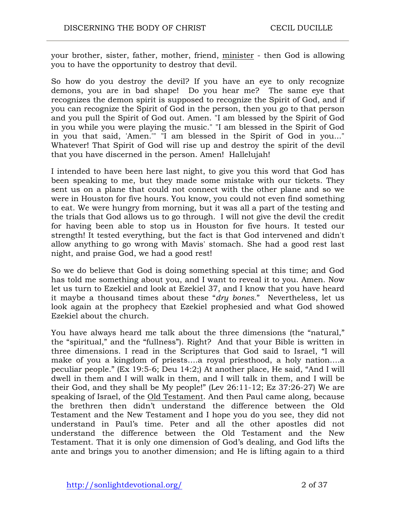your brother, sister, father, mother, friend, minister - then God is allowing you to have the opportunity to destroy that devil.

So how do you destroy the devil? If you have an eye to only recognize demons, you are in bad shape! Do you hear me? The same eye that recognizes the demon spirit is supposed to recognize the Spirit of God, and if you can recognize the Spirit of God in the person, then you go to that person and you pull the Spirit of God out. Amen. "I am blessed by the Spirit of God in you while you were playing the music." "I am blessed in the Spirit of God in you that said, 'Amen.'" "I am blessed in the Spirit of God in you..." Whatever! That Spirit of God will rise up and destroy the spirit of the devil that you have discerned in the person. Amen! Hallelujah!

I intended to have been here last night, to give you this word that God has been speaking to me, but they made some mistake with our tickets. They sent us on a plane that could not connect with the other plane and so we were in Houston for five hours. You know, you could not even find something to eat. We were hungry from morning, but it was all a part of the testing and the trials that God allows us to go through. I will not give the devil the credit for having been able to stop us in Houston for five hours. It tested our strength! It tested everything, but the fact is that God intervened and didn't allow anything to go wrong with Mavis' stomach. She had a good rest last night, and praise God, we had a good rest!

So we do believe that God is doing something special at this time; and God has told me something about you, and I want to reveal it to you. Amen. Now let us turn to Ezekiel and look at Ezekiel 37, and I know that you have heard it maybe a thousand times about these "*dry bones*." Nevertheless, let us look again at the prophecy that Ezekiel prophesied and what God showed Ezekiel about the church.

You have always heard me talk about the three dimensions (the "natural," the "spiritual," and the "fullness"). Right? And that your Bible is written in three dimensions. I read in the Scriptures that God said to Israel, "I will make of you a kingdom of priests….a royal priesthood, a holy nation….a peculiar people." (Ex 19:5-6; Deu 14:2;) At another place, He said, "And I will dwell in them and I will walk in them, and I will talk in them, and I will be their God, and they shall be My people!" (Lev 26:11-12; Ez 37:26-27) We are speaking of Israel, of the Old Testament. And then Paul came along, because the brethren then didn't understand the difference between the Old Testament and the New Testament and I hope you do you see, they did not understand in Paul's time. Peter and all the other apostles did not understand the difference between the Old Testament and the New Testament. That it is only one dimension of God's dealing, and God lifts the ante and brings you to another dimension; and He is lifting again to a third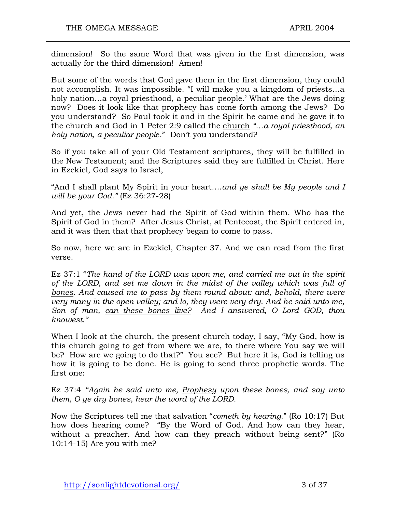dimension! So the same Word that was given in the first dimension, was actually for the third dimension! Amen!

But some of the words that God gave them in the first dimension, they could not accomplish. It was impossible. "I will make you a kingdom of priests…a holy nation…a royal priesthood, a peculiar people.' What are the Jews doing now? Does it look like that prophecy has come forth among the Jews? Do you understand? So Paul took it and in the Spirit he came and he gave it to the church and God in 1 Peter 2:9 called the church *"…a royal priesthood, an holy nation, a peculiar peopl*e." Don't you understand?

So if you take all of your Old Testament scriptures, they will be fulfilled in the New Testament; and the Scriptures said they are fulfilled in Christ. Here in Ezekiel, God says to Israel,

"And I shall plant My Spirit in your heart….*and ye shall be My people and I will be your God."* (Ez 36:27-28)

And yet, the Jews never had the Spirit of God within them. Who has the Spirit of God in them? After Jesus Christ, at Pentecost, the Spirit entered in, and it was then that that prophecy began to come to pass.

So now, here we are in Ezekiel, Chapter 37. And we can read from the first verse.

Ez 37:1 "*The hand of the LORD was upon me, and carried me out in the spirit of the LORD, and set me down in the midst of the valley which was full of bones. And caused me to pass by them round about: and, behold, there were very many in the open valley; and lo, they were very dry. And he said unto me, Son of man, can these bones live? And I answered, O Lord GOD, thou knowest."*

When I look at the church, the present church today, I say, "My God, how is this church going to get from where we are, to there where You say we will be? How are we going to do that?" You see? But here it is, God is telling us how it is going to be done. He is going to send three prophetic words. The first one:

Ez 37:4 *"Again he said unto me, Prophesy upon these bones, and say unto them, O ye dry bones, hear the word of the LORD.*

Now the Scriptures tell me that salvation "*cometh by hearing*." (Ro 10:17) But how does hearing come? "By the Word of God. And how can they hear, without a preacher. And how can they preach without being sent?" (Ro 10:14-15) Are you with me?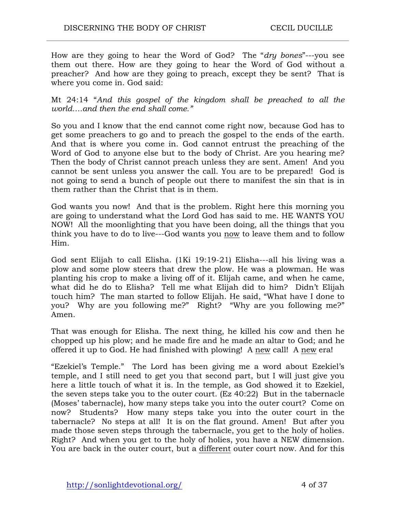How are they going to hear the Word of God? The "*dry bones*"---you see them out there. How are they going to hear the Word of God without a preacher? And how are they going to preach, except they be sent? That is where you come in. God said:

Mt 24:14 "*And this gospel of the kingdom shall be preached to all the world….and then the end shall come."*

So you and I know that the end cannot come right now, because God has to get some preachers to go and to preach the gospel to the ends of the earth. And that is where you come in. God cannot entrust the preaching of the Word of God to anyone else but to the body of Christ. Are you hearing me? Then the body of Christ cannot preach unless they are sent. Amen! And you cannot be sent unless you answer the call. You are to be prepared! God is not going to send a bunch of people out there to manifest the sin that is in them rather than the Christ that is in them.

God wants you now! And that is the problem. Right here this morning you are going to understand what the Lord God has said to me. HE WANTS YOU NOW! All the moonlighting that you have been doing, all the things that you think you have to do to live---God wants you now to leave them and to follow Him.

God sent Elijah to call Elisha. (1Ki 19:19-21) Elisha---all his living was a plow and some plow steers that drew the plow. He was a plowman. He was planting his crop to make a living off of it. Elijah came, and when he came, what did he do to Elisha? Tell me what Elijah did to him? Didn't Elijah touch him? The man started to follow Elijah. He said, "What have I done to you? Why are you following me?" Right? "Why are you following me?" Amen.

That was enough for Elisha. The next thing, he killed his cow and then he chopped up his plow; and he made fire and he made an altar to God; and he offered it up to God. He had finished with plowing! A new call! A new era!

"Ezekiel's Temple." The Lord has been giving me a word about Ezekiel's temple, and I still need to get you that second part, but I will just give you here a little touch of what it is. In the temple, as God showed it to Ezekiel, the seven steps take you to the outer court. (Ez 40:22) But in the tabernacle (Moses' tabernacle), how many steps take you into the outer court? Come on now? Students? How many steps take you into the outer court in the tabernacle? No steps at all! It is on the flat ground. Amen! But after you made those seven steps through the tabernacle, you get to the holy of holies. Right? And when you get to the holy of holies, you have a NEW dimension. You are back in the outer court, but a different outer court now. And for this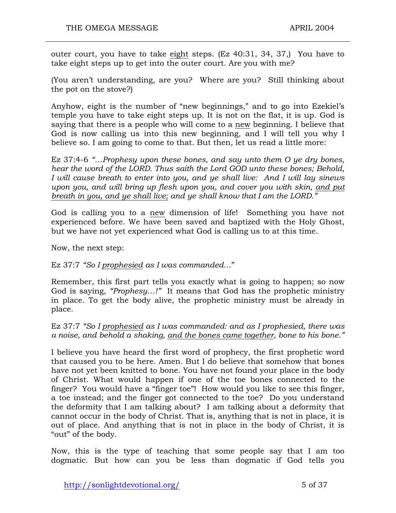outer court, you have to take eight steps. (Ez 40:31, 34, 37,) You have to take eight steps up to get into the outer court. Are you with me?

(You aren't understanding, are you? Where are you? Still thinking about the pot on the stove?)

Anyhow, eight is the number of "new beginnings," and to go into Ezekiel's temple you have to take eight steps up. It is not on the flat, it is up. God is saying that there is a people who will come to a new beginning. I believe that God is now calling us into this new beginning, and I will tell you why I believe so. I am going to come to that. But then, let us read a little more:

Ez 37:4-6 *"…Prophesy upon these bones, and say unto them O ye dry bones, hear the word of the LORD. Thus saith the Lord GOD unto these bones; Behold, I will cause breath to enter into you, and ye shall live: And I will lay sinews upon you, and will bring up flesh upon you, and cover you with skin, and put breath in you, and ye shall live; and ye shall know that I am the LORD."*

God is calling you to a new dimension of life! Something you have not experienced before. We have been saved and baptized with the Holy Ghost, but we have not yet experienced what God is calling us to at this time.

Now, the next step:

Ez 37:7 *"So I prophesied as I was commanded*…"

Remember, this first part tells you exactly what is going to happen; so now God is saying, *"Prophesy…!"* It means that God has the prophetic ministry in place. To get the body alive, the prophetic ministry must be already in place.

Ez 37:7 *"So I prophesied as I was commanded: and as I prophesied, there was a noise, and behold a shaking, and the bones came together, bone to his bone."*

I believe you have heard the first word of prophecy, the first prophetic word that caused you to be here. Amen. But I do believe that somehow that bones have not yet been knitted to bone. You have not found your place in the body of Christ. What would happen if one of the toe bones connected to the finger? You would have a "finger toe"! How would you like to see this finger, a toe instead; and the finger got connected to the toe? Do you understand the deformity that I am talking about? I am talking about a deformity that cannot occur in the body of Christ. That is, anything that is not in place, it is out of place. And anything that is not in place in the body of Christ, it is "out" of the body.

Now, this is the type of teaching that some people say that I am too dogmatic. But how can you be less than dogmatic if God tells you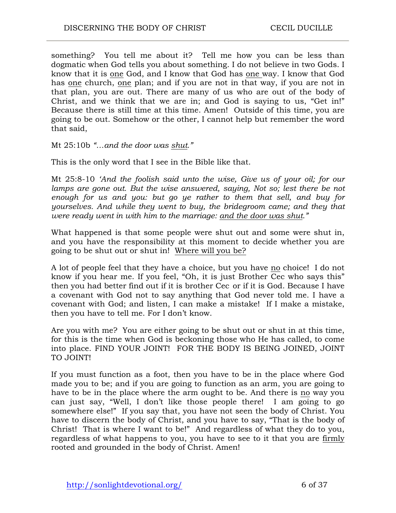something? You tell me about it? Tell me how you can be less than dogmatic when God tells you about something. I do not believe in two Gods. I know that it is one God, and I know that God has one way. I know that God has one church, one plan; and if you are not in that way, if you are not in that plan, you are out. There are many of us who are out of the body of Christ, and we think that we are in; and God is saying to us, "Get in!" Because there is still time at this time. Amen! Outside of this time, you are going to be out. Somehow or the other, I cannot help but remember the word that said,

Mt 25:10b *"…and the door was shut."*

This is the only word that I see in the Bible like that.

Mt 25:8-10 *'And the foolish said unto the wise, Give us of your oil; for our*  lamps are gone out. But the wise answered, saying, Not so; lest there be not *enough for us and you: but go ye rather to them that sell, and buy for yourselves. And while they went to buy, the bridegroom came; and they that were ready went in with him to the marriage: and the door was shut."*

What happened is that some people were shut out and some were shut in, and you have the responsibility at this moment to decide whether you are going to be shut out or shut in! Where will you be?

A lot of people feel that they have a choice, but you have no choice! I do not know if you hear me. If you feel, "Oh, it is just Brother Cec who says this" then you had better find out if it is brother Cec or if it is God. Because I have a covenant with God not to say anything that God never told me. I have a covenant with God; and listen, I can make a mistake! If I make a mistake, then you have to tell me. For I don't know.

Are you with me? You are either going to be shut out or shut in at this time, for this is the time when God is beckoning those who He has called, to come into place. FIND YOUR JOINT! FOR THE BODY IS BEING JOINED, JOINT TO JOINT!

If you must function as a foot, then you have to be in the place where God made you to be; and if you are going to function as an arm, you are going to have to be in the place where the arm ought to be. And there is no way you can just say, "Well, I don't like those people there! I am going to go somewhere else!" If you say that, you have not seen the body of Christ. You have to discern the body of Christ, and you have to say, "That is the body of Christ! That is where I want to be!" And regardless of what they do to you, regardless of what happens to you, you have to see to it that you are firmly rooted and grounded in the body of Christ. Amen!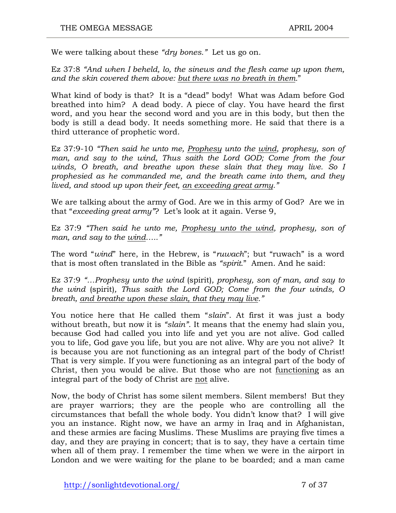We were talking about these *"dry bones."* Let us go on.

Ez 37:8 *"And when I beheld, lo, the sinews and the flesh came up upon them, and the skin covered them above: but there was no breath in them.*"

What kind of body is that? It is a "dead" body! What was Adam before God breathed into him? A dead body. A piece of clay. You have heard the first word, and you hear the second word and you are in this body, but then the body is still a dead body. It needs something more. He said that there is a third utterance of prophetic word.

Ez 37:9-10 *"Then said he unto me, Prophesy unto the wind, prophesy, son of*  man, and say to the wind, Thus saith the Lord GOD; Come from the four *winds, O breath, and breathe upon these slain that they may live. So I prophesied as he commanded me, and the breath came into them, and they lived, and stood up upon their feet, an exceeding great army."*

We are talking about the army of God. Are we in this army of God? Are we in that "*exceeding great army"*? Let's look at it again. Verse 9,

Ez 37:9 *"Then said he unto me, Prophesy unto the wind, prophesy, son of man, and say to the wind….."*

The word "*wind*" here, in the Hebrew, is "*ruwach*"; but "ruwach" is a word that is most often translated in the Bible as *"spirit*." Amen. And he said:

Ez 37:9 *"…Prophesy unto the wind* (spirit)*, prophesy, son of man, and say to the wind* (spirit)*, Thus saith the Lord GOD; Come from the four winds, O breath, and breathe upon these slain, that they may live."*

You notice here that He called them "*slain*". At first it was just a body without breath, but now it is *"slain"*. It means that the enemy had slain you, because God had called you into life and yet you are not alive. God called you to life, God gave you life, but you are not alive. Why are you not alive? It is because you are not functioning as an integral part of the body of Christ! That is very simple. If you were functioning as an integral part of the body of Christ, then you would be alive. But those who are not functioning as an integral part of the body of Christ are not alive.

Now, the body of Christ has some silent members. Silent members! But they are prayer warriors; they are the people who are controlling all the circumstances that befall the whole body. You didn't know that? I will give you an instance. Right now, we have an army in Iraq and in Afghanistan, and these armies are facing Muslims. These Muslims are praying five times a day, and they are praying in concert; that is to say, they have a certain time when all of them pray. I remember the time when we were in the airport in London and we were waiting for the plane to be boarded; and a man came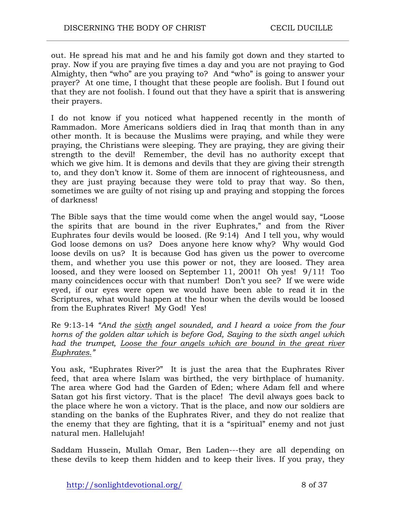out. He spread his mat and he and his family got down and they started to pray. Now if you are praying five times a day and you are not praying to God Almighty, then "who" are you praying to? And "who" is going to answer your prayer? At one time, I thought that these people are foolish. But I found out that they are not foolish. I found out that they have a spirit that is answering their prayers.

I do not know if you noticed what happened recently in the month of Rammadon. More Americans soldiers died in Iraq that month than in any other month. It is because the Muslims were praying, and while they were praying, the Christians were sleeping. They are praying, they are giving their strength to the devil! Remember, the devil has no authority except that which we give him. It is demons and devils that they are giving their strength to, and they don't know it. Some of them are innocent of righteousness, and they are just praying because they were told to pray that way. So then, sometimes we are guilty of not rising up and praying and stopping the forces of darkness!

The Bible says that the time would come when the angel would say, "Loose the spirits that are bound in the river Euphrates," and from the River Euphrates four devils would be loosed. (Re 9:14) And I tell you, why would God loose demons on us? Does anyone here know why? Why would God loose devils on us? It is because God has given us the power to overcome them, and whether you use this power or not, they are loosed. They area loosed, and they were loosed on September 11, 2001! Oh yes! 9/11! Too many coincidences occur with that number! Don't you see? If we were wide eyed, if our eyes were open we would have been able to read it in the Scriptures, what would happen at the hour when the devils would be loosed from the Euphrates River! My God! Yes!

Re 9:13-14 *"And the sixth angel sounded, and I heard a voice from the four horns of the golden altar which is before God, Saying to the sixth angel which had the trumpet, Loose the four angels which are bound in the great river Euphrates."*

You ask, "Euphrates River?" It is just the area that the Euphrates River feed, that area where Islam was birthed, the very birthplace of humanity. The area where God had the Garden of Eden; where Adam fell and where Satan got his first victory. That is the place! The devil always goes back to the place where he won a victory. That is the place, and now our soldiers are standing on the banks of the Euphrates River, and they do not realize that the enemy that they are fighting, that it is a "spiritual" enemy and not just natural men. Hallelujah!

Saddam Hussein, Mullah Omar, Ben Laden---they are all depending on these devils to keep them hidden and to keep their lives. If you pray, they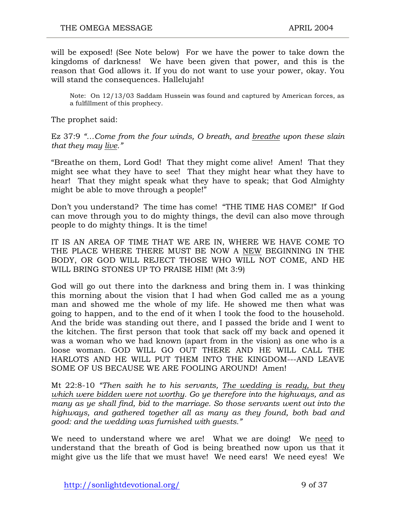will be exposed! (See Note below)For we have the power to take down the kingdoms of darkness! We have been given that power, and this is the reason that God allows it. If you do not want to use your power, okay. You will stand the consequences. Hallelujah!

Note: On 12/13/03 Saddam Hussein was found and captured by American forces, as a fulfillment of this prophecy.

The prophet said:

Ez 37:9 *"…Come from the four winds, O breath, and breathe upon these slain that they may live."*

"Breathe on them, Lord God! That they might come alive! Amen! That they might see what they have to see! That they might hear what they have to hear! That they might speak what they have to speak; that God Almighty might be able to move through a people!"

Don't you understand? The time has come! "THE TIME HAS COME!" If God can move through you to do mighty things, the devil can also move through people to do mighty things. It is the time!

IT IS AN AREA OF TIME THAT WE ARE IN, WHERE WE HAVE COME TO THE PLACE WHERE THERE MUST BE NOW A NEW BEGINNING IN THE BODY, OR GOD WILL REJECT THOSE WHO WILL NOT COME, AND HE WILL BRING STONES UP TO PRAISE HIM! (Mt 3:9)

God will go out there into the darkness and bring them in. I was thinking this morning about the vision that I had when God called me as a young man and showed me the whole of my life. He showed me then what was going to happen, and to the end of it when I took the food to the household. And the bride was standing out there, and I passed the bride and I went to the kitchen. The first person that took that sack off my back and opened it was a woman who we had known (apart from in the vision) as one who is a loose woman. GOD WILL GO OUT THERE AND HE WILL CALL THE HARLOTS AND HE WILL PUT THEM INTO THE KINGDOM---AND LEAVE SOME OF US BECAUSE WE ARE FOOLING AROUND! Amen!

Mt 22:8-10 *"Then saith he to his servants, The wedding is ready, but they which were bidden were not worthy. Go ye therefore into the highways, and as many as ye shall find, bid to the marriage. So those servants went out into the highways, and gathered together all as many as they found, both bad and good: and the wedding was furnished with guests."* 

We need to understand where we are! What we are doing! We need to understand that the breath of God is being breathed now upon us that it might give us the life that we must have! We need ears! We need eyes! We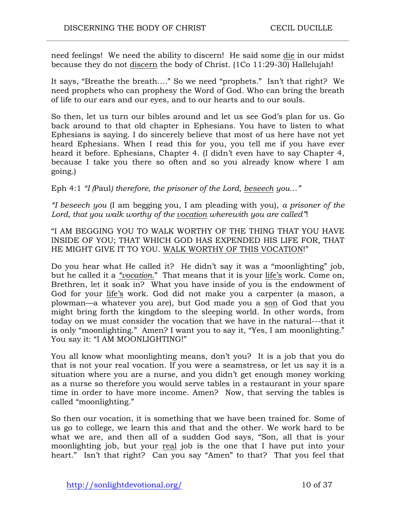need feelings! We need the ability to discern! He said some die in our midst because they do not discern the body of Christ. (1Co 11:29-30) Hallelujah!

It says, "Breathe the breath…." So we need "prophets." Isn't that right? We need prophets who can prophesy the Word of God. Who can bring the breath of life to our ears and our eyes, and to our hearts and to our souls.

So then, let us turn our bibles around and let us see God's plan for us. Go back around to that old chapter in Ephesians. You have to listen to what Ephesians is saying. I do sincerely believe that most of us here have not yet heard Ephesians. When I read this for you, you tell me if you have ever heard it before. Ephesians, Chapter 4. (I didn't even have to say Chapter 4, because I take you there so often and so you already know where I am going.)

Eph 4:1 *"I (*Paul*) therefore, the prisoner of the Lord, beseech you…"*

*"I beseech you* (I am begging you, I am pleading with you), *a prisoner of the Lord, that you walk worthy of the vocation wherewith you are called"*!

"I AM BEGGING YOU TO WALK WORTHY OF THE THING THAT YOU HAVE INSIDE OF YOU; THAT WHICH GOD HAS EXPENDED HIS LIFE FOR, THAT HE MIGHT GIVE IT TO YOU. WALK WORTHY OF THIS VOCATION!"

Do you hear what He called it? He didn't say it was a "moonlighting" job, but he called it a *"vocation.*" That means that it is your life's work. Come on, Brethren, let it soak in? What you have inside of you is the endowment of God for your life's work. God did not make you a carpenter (a mason, a plowman—a whatever you are), but God made you a son of God that you might bring forth the kingdom to the sleeping world. In other words, from today on we must consider the vocation that we have in the natural---that it is only "moonlighting." Amen? I want you to say it, "Yes, I am moonlighting." You say it: "I AM MOONLIGHTING!"

You all know what moonlighting means, don't you? It is a job that you do that is not your real vocation. If you were a seamstress, or let us say it is a situation where you are a nurse, and you didn't get enough money working as a nurse so therefore you would serve tables in a restaurant in your spare time in order to have more income. Amen? Now, that serving the tables is called "moonlighting."

So then our vocation, it is something that we have been trained for. Some of us go to college, we learn this and that and the other. We work hard to be what we are, and then all of a sudden God says, "Son, all that is your moonlighting job, but your real job is the one that I have put into your heart." Isn't that right? Can you say "Amen" to that? That you feel that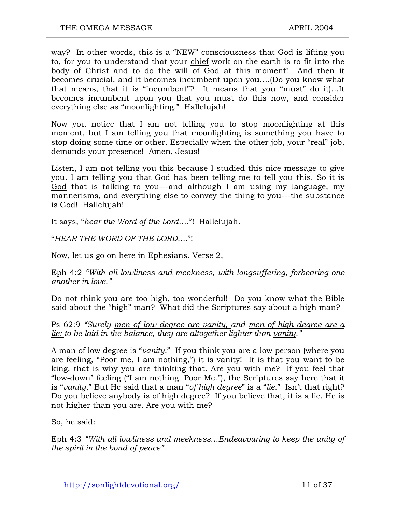way? In other words, this is a "NEW" consciousness that God is lifting you to, for you to understand that your chief work on the earth is to fit into the body of Christ and to do the will of God at this moment! And then it becomes crucial, and it becomes incumbent upon you….(Do you know what that means, that it is "incumbent"? It means that you "must" do it)…It becomes incumbent upon you that you must do this now, and consider everything else as "moonlighting." Hallelujah!

Now you notice that I am not telling you to stop moonlighting at this moment, but I am telling you that moonlighting is something you have to stop doing some time or other. Especially when the other job, your "real" job, demands your presence! Amen, Jesus!

Listen, I am not telling you this because I studied this nice message to give you. I am telling you that God has been telling me to tell you this. So it is God that is talking to you---and although I am using my language, my mannerisms, and everything else to convey the thing to you---the substance is God! Hallelujah!

It says, "*hear the Word of the Lord…*."!Hallelujah.

"*HEAR THE WORD OF THE LORD….*"!

Now, let us go on here in Ephesians. Verse 2,

Eph 4:2 *"With all lowliness and meekness, with longsuffering, forbearing one another in love."*

Do not think you are too high, too wonderful! Do you know what the Bible said about the "high" man? What did the Scriptures say about a high man?

Ps 62:9 *"Surely men of low degree are vanity, and men of high degree are a lie: to be laid in the balance, they are altogether lighter than vanity."*

A man of low degree is "*vanity*." If you think you are a low person (where you are feeling, "Poor me, I am nothing,") it is vanity! It is that you want to be king, that is why you are thinking that. Are you with me? If you feel that "low-down" feeling ("I am nothing. Poor Me."), the Scriptures say here that it is "*vanity*," But He said that a man "*of high degree*" is a "*lie.*" Isn't that right? Do you believe anybody is of high degree? If you believe that, it is a lie. He is not higher than you are. Are you with me?

So, he said:

Eph 4:3 *"With all lowliness and meekness…Endeavouring to keep the unity of the spirit in the bond of peace".*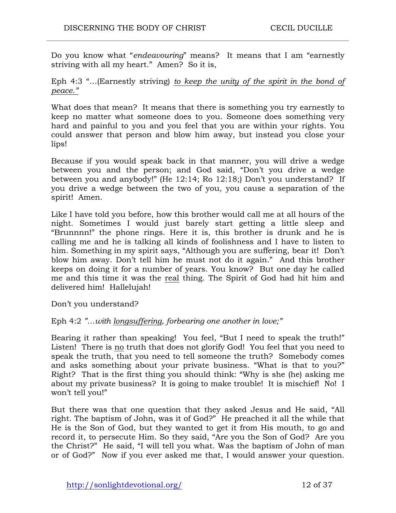Do you know what "*endeavouring*" means? It means that I am "earnestly striving with all my heart." Amen? So it is,

Eph 4:3 "…(Earnestly striving) *to keep the unity of the spirit in the bond of peace."*

What does that mean? It means that there is something you try earnestly to keep no matter what someone does to you. Someone does something very hard and painful to you and you feel that you are within your rights. You could answer that person and blow him away, but instead you close your lips!

Because if you would speak back in that manner, you will drive a wedge between you and the person; and God said, "Don't you drive a wedge between you and anybody!" (He 12:14; Ro 12:18;) Don't you understand? If you drive a wedge between the two of you, you cause a separation of the spirit! Amen.

Like I have told you before, how this brother would call me at all hours of the night. Sometimes I would just barely start getting a little sleep and "Brunnnn!" the phone rings. Here it is, this brother is drunk and he is calling me and he is talking all kinds of foolishness and I have to listen to him. Something in my spirit says, "Although you are suffering, bear it! Don't blow him away. Don't tell him he must not do it again." And this brother keeps on doing it for a number of years. You know? But one day he called me and this time it was the real thing. The Spirit of God had hit him and delivered him! Hallelujah!

Don't you understand?

#### Eph 4:2 *"…with longsuffering, forbearing one another in love;"*

Bearing it rather than speaking! You feel, "But I need to speak the truth!" Listen! There is no truth that does not glorify God! You feel that you need to speak the truth, that you need to tell someone the truth? Somebody comes and asks something about your private business. "What is that to you?" Right? That is the first thing you should think: "Why is she (he) asking me about my private business? It is going to make trouble! It is mischief! No! I won't tell you!"

But there was that one question that they asked Jesus and He said, "All right. The baptism of John, was it of God?" He preached it all the while that He is the Son of God, but they wanted to get it from His mouth, to go and record it, to persecute Him. So they said, "Are you the Son of God? Are you the Christ?" He said, "I will tell you what. Was the baptism of John of man or of God?" Now if you ever asked me that, I would answer your question.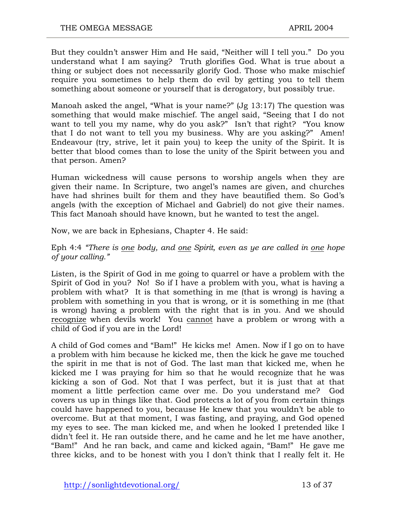But they couldn't answer Him and He said, "Neither will I tell you." Do you understand what I am saying? Truth glorifies God. What is true about a thing or subject does not necessarily glorify God. Those who make mischief require you sometimes to help them do evil by getting you to tell them something about someone or yourself that is derogatory, but possibly true.

Manoah asked the angel, "What is your name?" (Jg 13:17) The question was something that would make mischief. The angel said, "Seeing that I do not want to tell you my name, why do you ask?" Isn't that right? "You know that I do not want to tell you my business. Why are you asking?" Amen! Endeavour (try, strive, let it pain you) to keep the unity of the Spirit. It is better that blood comes than to lose the unity of the Spirit between you and that person. Amen?

Human wickedness will cause persons to worship angels when they are given their name. In Scripture, two angel's names are given, and churches have had shrines built for them and they have beautified them. So God's angels (with the exception of Michael and Gabriel) do not give their names. This fact Manoah should have known, but he wanted to test the angel.

Now, we are back in Ephesians, Chapter 4. He said:

Eph 4:4 *"There is one body, and one Spirit, even as ye are called in one hope of your calling."*

Listen, is the Spirit of God in me going to quarrel or have a problem with the Spirit of God in you? No! So if I have a problem with you, what is having a problem with what? It is that something in me (that is wrong) is having a problem with something in you that is wrong, or it is something in me (that is wrong) having a problem with the right that is in you. And we should recognize when devils work! You cannot have a problem or wrong with a child of God if you are in the Lord!

A child of God comes and "Bam!" He kicks me! Amen. Now if I go on to have a problem with him because he kicked me, then the kick he gave me touched the spirit in me that is not of God. The last man that kicked me, when he kicked me I was praying for him so that he would recognize that he was kicking a son of God. Not that I was perfect, but it is just that at that moment a little perfection came over me. Do you understand me? God covers us up in things like that. God protects a lot of you from certain things could have happened to you, because He knew that you wouldn't be able to overcome. But at that moment, I was fasting, and praying, and God opened my eyes to see. The man kicked me, and when he looked I pretended like I didn't feel it. He ran outside there, and he came and he let me have another, "Bam!" And he ran back, and came and kicked again, "Bam!" He gave me three kicks, and to be honest with you I don't think that I really felt it. He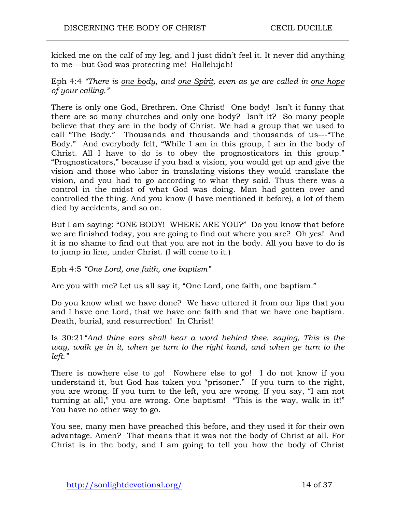kicked me on the calf of my leg, and I just didn't feel it. It never did anything to me---but God was protecting me! Hallelujah!

Eph 4:4 *"There is one body, and one Spirit, even as ye are called in one hope of your calling."*

There is only one God, Brethren. One Christ! One body! Isn't it funny that there are so many churches and only one body? Isn't it? So many people believe that they are in the body of Christ. We had a group that we used to call "The Body." Thousands and thousands and thousands of us---"The Body." And everybody felt, "While I am in this group, I am in the body of Christ. All I have to do is to obey the prognosticators in this group." "Prognosticators," because if you had a vision, you would get up and give the vision and those who labor in translating visions they would translate the vision, and you had to go according to what they said. Thus there was a control in the midst of what God was doing. Man had gotten over and controlled the thing. And you know (I have mentioned it before), a lot of them died by accidents, and so on.

But I am saying: "ONE BODY! WHERE ARE YOU?" Do you know that before we are finished today, you are going to find out where you are? Oh yes! And it is no shame to find out that you are not in the body. All you have to do is to jump in line, under Christ. (I will come to it.)

Eph 4:5 *"One Lord, one faith, one baptism"*

Are you with me? Let us all say it, "One Lord, one faith, one baptism."

Do you know what we have done? We have uttered it from our lips that you and I have one Lord, that we have one faith and that we have one baptism. Death, burial, and resurrection! In Christ!

Is 30:21*"And thine ears shall hear a word behind thee, saying, This is the way, walk ye in it, when ye turn to the right hand, and when ye turn to the left."*

There is nowhere else to go! Nowhere else to go! I do not know if you understand it, but God has taken you "prisoner." If you turn to the right, you are wrong. If you turn to the left, you are wrong. If you say, "I am not turning at all," you are wrong. One baptism! "This is the way, walk in it!" You have no other way to go.

You see, many men have preached this before, and they used it for their own advantage. Amen? That means that it was not the body of Christ at all. For Christ is in the body, and I am going to tell you how the body of Christ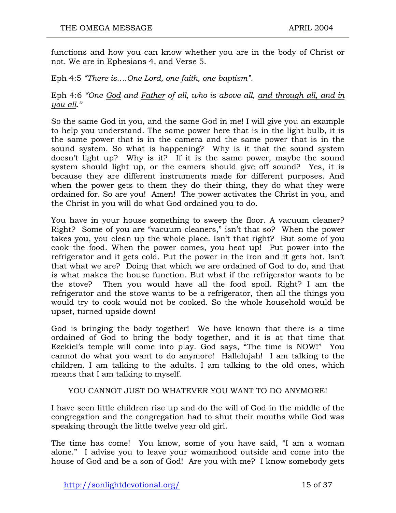functions and how you can know whether you are in the body of Christ or not. We are in Ephesians 4, and Verse 5.

Eph 4:5 *"There is….One Lord, one faith, one baptism".*

#### Eph 4:6 *"One God and Father of all, who is above all, and through all, and in you all."*

So the same God in you, and the same God in me! I will give you an example to help you understand. The same power here that is in the light bulb, it is the same power that is in the camera and the same power that is in the sound system. So what is happening? Why is it that the sound system doesn't light up? Why is it? If it is the same power, maybe the sound system should light up, or the camera should give off sound? Yes, it is because they are different instruments made for different purposes. And when the power gets to them they do their thing, they do what they were ordained for. So are you! Amen! The power activates the Christ in you, and the Christ in you will do what God ordained you to do.

You have in your house something to sweep the floor. A vacuum cleaner? Right? Some of you are "vacuum cleaners," isn't that so? When the power takes you, you clean up the whole place. Isn't that right? But some of you cook the food. When the power comes, you heat up! Put power into the refrigerator and it gets cold. Put the power in the iron and it gets hot. Isn't that what we are? Doing that which we are ordained of God to do, and that is what makes the house function. But what if the refrigerator wants to be the stove? Then you would have all the food spoil. Right? I am the refrigerator and the stove wants to be a refrigerator, then all the things you would try to cook would not be cooked. So the whole household would be upset, turned upside down!

God is bringing the body together! We have known that there is a time ordained of God to bring the body together, and it is at that time that Ezekiel's temple will come into play. God says, "The time is NOW!" You cannot do what you want to do anymore! Hallelujah! I am talking to the children. I am talking to the adults. I am talking to the old ones, which means that I am talking to myself.

#### YOU CANNOT JUST DO WHATEVER YOU WANT TO DO ANYMORE!

I have seen little children rise up and do the will of God in the middle of the congregation and the congregation had to shut their mouths while God was speaking through the little twelve year old girl.

The time has come! You know, some of you have said, "I am a woman alone." I advise you to leave your womanhood outside and come into the house of God and be a son of God! Are you with me? I know somebody gets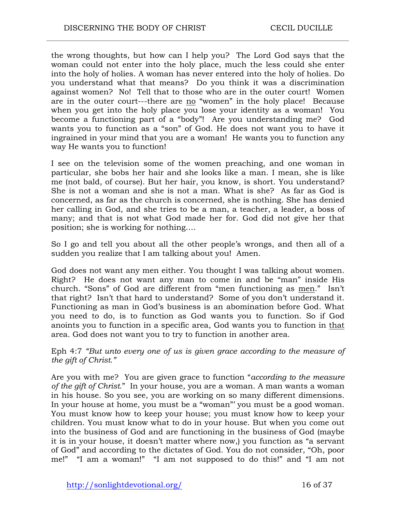the wrong thoughts, but how can I help you? The Lord God says that the woman could not enter into the holy place, much the less could she enter into the holy of holies. A woman has never entered into the holy of holies. Do you understand what that means? Do you think it was a discrimination against women? No! Tell that to those who are in the outer court! Women are in the outer court---there are no "women" in the holy place! Because when you get into the holy place you lose your identity as a woman! You become a functioning part of a "body"! Are you understanding me? God wants you to function as a "son" of God. He does not want you to have it ingrained in your mind that you are a woman! He wants you to function any way He wants you to function!

I see on the television some of the women preaching, and one woman in particular, she bobs her hair and she looks like a man. I mean, she is like me (not bald, of course). But her hair, you know, is short. You understand? She is not a woman and she is not a man. What is she? As far as God is concerned, as far as the church is concerned, she is nothing. She has denied her calling in God, and she tries to be a man, a teacher, a leader, a boss of many; and that is not what God made her for. God did not give her that position; she is working for nothing….

So I go and tell you about all the other people's wrongs, and then all of a sudden you realize that I am talking about you! Amen.

God does not want any men either. You thought I was talking about women. Right? He does not want any man to come in and be "man" inside His church. "Sons" of God are different from "men functioning as men." Isn't that right? Isn't that hard to understand? Some of you don't understand it. Functioning as man in God's business is an abomination before God. What you need to do, is to function as God wants you to function. So if God anoints you to function in a specific area, God wants you to function in that area. God does not want you to try to function in another area.

Eph 4:7 *"But unto every one of us is given grace according to the measure of the gift of Christ."*

Are you with me? You are given grace to function "*according to the measure of the gift of Christ*." In your house, you are a woman. A man wants a woman in his house. So you see, you are working on so many different dimensions. In your house at home, you must be a "woman"' you must be a good woman. You must know how to keep your house; you must know how to keep your children. You must know what to do in your house. But when you come out into the business of God and are functioning in the business of God (maybe it is in your house, it doesn't matter where now,) you function as "a servant of God" and according to the dictates of God. You do not consider, "Oh, poor me!" "I am a woman!" "I am not supposed to do this!" and "I am not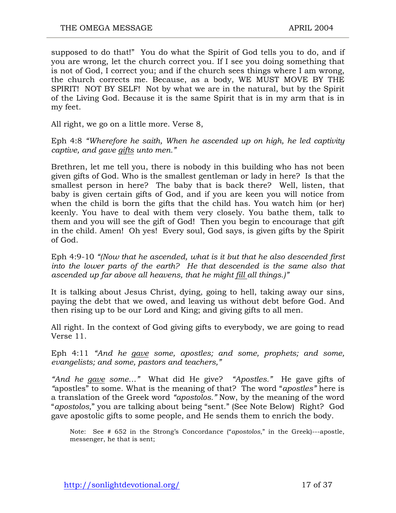supposed to do that!" You do what the Spirit of God tells you to do, and if you are wrong, let the church correct you. If I see you doing something that is not of God, I correct you; and if the church sees things where I am wrong, the church corrects me. Because, as a body, WE MUST MOVE BY THE SPIRIT! NOT BY SELF! Not by what we are in the natural, but by the Spirit of the Living God. Because it is the same Spirit that is in my arm that is in my feet.

All right, we go on a little more. Verse 8,

Eph 4:8 *"Wherefore he saith, When he ascended up on high, he led captivity captive, and gave gifts unto men."*

Brethren, let me tell you, there is nobody in this building who has not been given gifts of God. Who is the smallest gentleman or lady in here? Is that the smallest person in here? The baby that is back there? Well, listen, that baby is given certain gifts of God, and if you are keen you will notice from when the child is born the gifts that the child has. You watch him (or her) keenly. You have to deal with them very closely. You bathe them, talk to them and you will see the gift of God! Then you begin to encourage that gift in the child. Amen! Oh yes! Every soul, God says, is given gifts by the Spirit of God.

Eph 4:9-10 *"(Now that he ascended, what is it but that he also descended first into the lower parts of the earth? He that descended is the same also that ascended up far above all heavens, that he might fill all things.)"*

It is talking about Jesus Christ, dying, going to hell, taking away our sins, paying the debt that we owed, and leaving us without debt before God. And then rising up to be our Lord and King; and giving gifts to all men.

All right. In the context of God giving gifts to everybody, we are going to read Verse 11.

Eph 4:11 *"And he gave some, apostles; and some, prophets; and some, evangelists; and some, pastors and teachers,"*

*"And he gave some…"* What did He give? *"Apostles."* He gave gifts of *"*apostles" to some. What is the meaning of that? The word "*apostles"* here is a translation of the Greek word *"apostolos."* Now, by the meaning of the word "*apostolos,*" you are talking about being "sent." (See Note Below) Right? God gave apostolic gifts to some people, and He sends them to enrich the body.

Note: See # 652 in the Strong's Concordance ("*apostolos*," in the Greek)---apostle, messenger, he that is sent;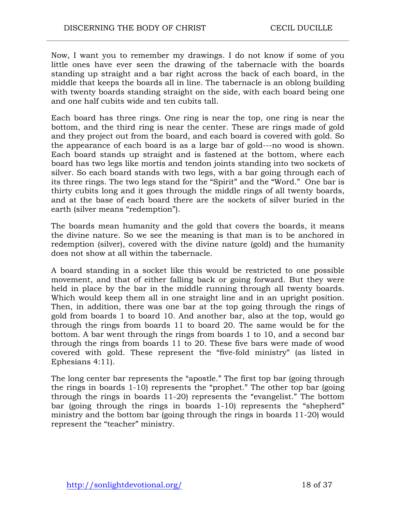Now, I want you to remember my drawings. I do not know if some of you little ones have ever seen the drawing of the tabernacle with the boards standing up straight and a bar right across the back of each board, in the middle that keeps the boards all in line. The tabernacle is an oblong building with twenty boards standing straight on the side, with each board being one and one half cubits wide and ten cubits tall.

Each board has three rings. One ring is near the top, one ring is near the bottom, and the third ring is near the center. These are rings made of gold and they project out from the board, and each board is covered with gold. So the appearance of each board is as a large bar of gold---no wood is shown. Each board stands up straight and is fastened at the bottom, where each board has two legs like mortis and tendon joints standing into two sockets of silver. So each board stands with two legs, with a bar going through each of its three rings. The two legs stand for the "Spirit" and the "Word." One bar is thirty cubits long and it goes through the middle rings of all twenty boards, and at the base of each board there are the sockets of silver buried in the earth (silver means "redemption").

The boards mean humanity and the gold that covers the boards, it means the divine nature. So we see the meaning is that man is to be anchored in redemption (silver), covered with the divine nature (gold) and the humanity does not show at all within the tabernacle.

A board standing in a socket like this would be restricted to one possible movement, and that of either falling back or going forward. But they were held in place by the bar in the middle running through all twenty boards. Which would keep them all in one straight line and in an upright position. Then, in addition, there was one bar at the top going through the rings of gold from boards 1 to board 10. And another bar, also at the top, would go through the rings from boards 11 to board 20. The same would be for the bottom. A bar went through the rings from boards 1 to 10, and a second bar through the rings from boards 11 to 20. These five bars were made of wood covered with gold. These represent the "five-fold ministry" (as listed in Ephesians 4:11).

The long center bar represents the "apostle." The first top bar (going through the rings in boards 1-10) represents the "prophet." The other top bar (going through the rings in boards 11-20) represents the "evangelist." The bottom bar (going through the rings in boards 1-10) represents the "shepherd" ministry and the bottom bar (going through the rings in boards 11-20) would represent the "teacher" ministry.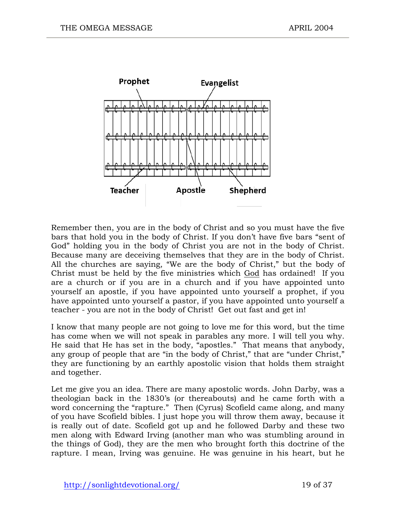

Remember then, you are in the body of Christ and so you must have the five bars that hold you in the body of Christ. If you don't have five bars "sent of God" holding you in the body of Christ you are not in the body of Christ. Because many are deceiving themselves that they are in the body of Christ. All the churches are saying, "We are the body of Christ," but the body of Christ must be held by the five ministries which God has ordained! If you are a church or if you are in a church and if you have appointed unto yourself an apostle, if you have appointed unto yourself a prophet, if you have appointed unto yourself a pastor, if you have appointed unto yourself a teacher - you are not in the body of Christ! Get out fast and get in!

I know that many people are not going to love me for this word, but the time has come when we will not speak in parables any more. I will tell you why. He said that He has set in the body, "apostles." That means that anybody, any group of people that are "in the body of Christ," that are "under Christ," they are functioning by an earthly apostolic vision that holds them straight and together.

Let me give you an idea. There are many apostolic words. John Darby, was a theologian back in the 1830's (or thereabouts) and he came forth with a word concerning the "rapture." Then (Cyrus) Scofield came along, and many of you have Scofield bibles. I just hope you will throw them away, because it is really out of date. Scofield got up and he followed Darby and these two men along with Edward Irving (another man who was stumbling around in the things of God), they are the men who brought forth this doctrine of the rapture. I mean, Irving was genuine. He was genuine in his heart, but he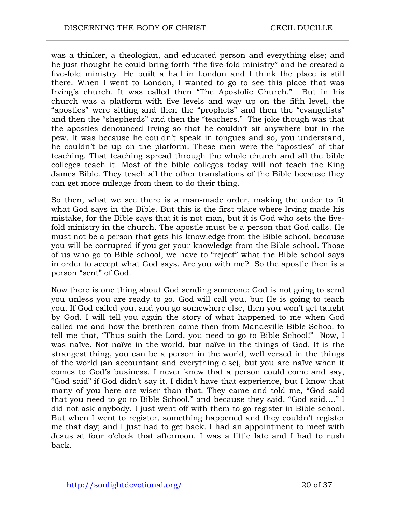was a thinker, a theologian, and educated person and everything else; and he just thought he could bring forth "the five-fold ministry" and he created a five-fold ministry. He built a hall in London and I think the place is still there. When I went to London, I wanted to go to see this place that was Irving's church. It was called then "The Apostolic Church." But in his church was a platform with five levels and way up on the fifth level, the "apostles" were sitting and then the "prophets" and then the "evangelists" and then the "shepherds" and then the "teachers." The joke though was that the apostles denounced Irving so that he couldn't sit anywhere but in the pew. It was because he couldn't speak in tongues and so, you understand, he couldn't be up on the platform. These men were the "apostles" of that teaching. That teaching spread through the whole church and all the bible colleges teach it. Most of the bible colleges today will not teach the King James Bible. They teach all the other translations of the Bible because they can get more mileage from them to do their thing.

So then, what we see there is a man-made order, making the order to fit what God says in the Bible. But this is the first place where Irving made his mistake, for the Bible says that it is not man, but it is God who sets the fivefold ministry in the church. The apostle must be a person that God calls. He must not be a person that gets his knowledge from the Bible school, because you will be corrupted if you get your knowledge from the Bible school. Those of us who go to Bible school, we have to "reject" what the Bible school says in order to accept what God says. Are you with me? So the apostle then is a person "sent" of God.

Now there is one thing about God sending someone: God is not going to send you unless you are ready to go. God will call you, but He is going to teach you. If God called you, and you go somewhere else, then you won't get taught by God. I will tell you again the story of what happened to me when God called me and how the brethren came then from Mandeville Bible School to tell me that, "Thus saith the Lord, you need to go to Bible School!" Now, I was naïve. Not naïve in the world, but naïve in the things of God. It is the strangest thing, you can be a person in the world, well versed in the things of the world (an accountant and everything else), but you are naïve when it comes to God's business. I never knew that a person could come and say, "God said" if God didn't say it. I didn't have that experience, but I know that many of you here are wiser than that. They came and told me, "God said that you need to go to Bible School," and because they said, "God said…." I did not ask anybody. I just went off with them to go register in Bible school. But when I went to register, something happened and they couldn't register me that day; and I just had to get back. I had an appointment to meet with Jesus at four o'clock that afternoon. I was a little late and I had to rush back.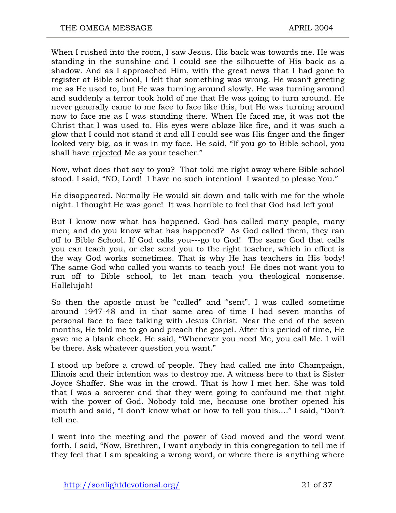When I rushed into the room, I saw Jesus. His back was towards me. He was standing in the sunshine and I could see the silhouette of His back as a shadow. And as I approached Him, with the great news that I had gone to register at Bible school, I felt that something was wrong. He wasn't greeting me as He used to, but He was turning around slowly. He was turning around and suddenly a terror took hold of me that He was going to turn around. He never generally came to me face to face like this, but He was turning around now to face me as I was standing there. When He faced me, it was not the Christ that I was used to. His eyes were ablaze like fire, and it was such a glow that I could not stand it and all I could see was His finger and the finger looked very big, as it was in my face. He said, "If you go to Bible school, you shall have rejected Me as your teacher."

Now, what does that say to you? That told me right away where Bible school stood. I said, "NO, Lord! I have no such intention! I wanted to please You."

He disappeared. Normally He would sit down and talk with me for the whole night. I thought He was gone! It was horrible to feel that God had left you!

But I know now what has happened. God has called many people, many men; and do you know what has happened? As God called them, they ran off to Bible School. If God calls you---go to God! The same God that calls you can teach you, or else send you to the right teacher, which in effect is the way God works sometimes. That is why He has teachers in His body! The same God who called you wants to teach you! He does not want you to run off to Bible school, to let man teach you theological nonsense. Hallelujah!

So then the apostle must be "called" and "sent". I was called sometime around 1947-48 and in that same area of time I had seven months of personal face to face talking with Jesus Christ. Near the end of the seven months, He told me to go and preach the gospel. After this period of time, He gave me a blank check. He said, "Whenever you need Me, you call Me. I will be there. Ask whatever question you want."

I stood up before a crowd of people. They had called me into Champaign, Illinois and their intention was to destroy me. A witness here to that is Sister Joyce Shaffer. She was in the crowd. That is how I met her. She was told that I was a sorcerer and that they were going to confound me that night with the power of God. Nobody told me, because one brother opened his mouth and said, "I don't know what or how to tell you this…." I said, "Don't tell me.

I went into the meeting and the power of God moved and the word went forth, I said, "Now, Brethren, I want anybody in this congregation to tell me if they feel that I am speaking a wrong word, or where there is anything where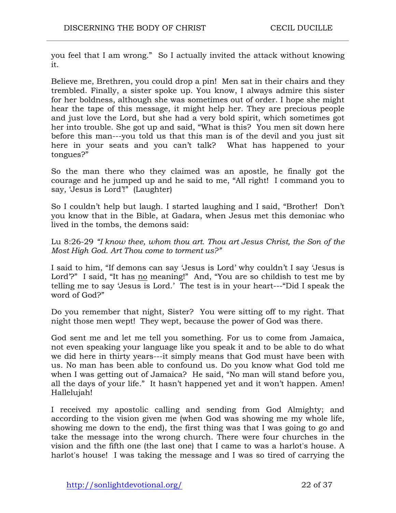you feel that I am wrong." So I actually invited the attack without knowing it.

Believe me, Brethren, you could drop a pin! Men sat in their chairs and they trembled. Finally, a sister spoke up. You know, I always admire this sister for her boldness, although she was sometimes out of order. I hope she might hear the tape of this message, it might help her. They are precious people and just love the Lord, but she had a very bold spirit, which sometimes got her into trouble. She got up and said, "What is this? You men sit down here before this man---you told us that this man is of the devil and you just sit here in your seats and you can't talk? What has happened to your tongues?"

So the man there who they claimed was an apostle, he finally got the courage and he jumped up and he said to me, "All right! I command you to say, 'Jesus is Lord'!" (Laughter)

So I couldn't help but laugh. I started laughing and I said, "Brother! Don't you know that in the Bible, at Gadara, when Jesus met this demoniac who lived in the tombs, the demons said:

Lu 8:26-29 *"I know thee, whom thou art. Thou art Jesus Christ, the Son of the Most High God. Art Thou come to torment us?"*

I said to him, "If demons can say 'Jesus is Lord' why couldn't I say 'Jesus is Lord'?" I said, "It has no meaning!" And, "You are so childish to test me by telling me to say 'Jesus is Lord.' The test is in your heart---"Did I speak the word of God?"

Do you remember that night, Sister? You were sitting off to my right. That night those men wept! They wept, because the power of God was there.

God sent me and let me tell you something. For us to come from Jamaica, not even speaking your language like you speak it and to be able to do what we did here in thirty years---it simply means that God must have been with us. No man has been able to confound us. Do you know what God told me when I was getting out of Jamaica? He said, "No man will stand before you, all the days of your life." It hasn't happened yet and it won't happen. Amen! Hallelujah!

I received my apostolic calling and sending from God Almighty; and according to the vision given me (when God was showing me my whole life, showing me down to the end), the first thing was that I was going to go and take the message into the wrong church. There were four churches in the vision and the fifth one (the last one) that I came to was a harlot's house. A harlot's house! I was taking the message and I was so tired of carrying the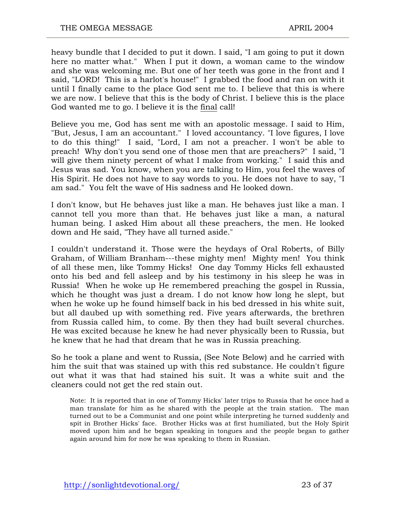heavy bundle that I decided to put it down. I said, "I am going to put it down here no matter what." When I put it down, a woman came to the window and she was welcoming me. But one of her teeth was gone in the front and I said, "LORD! This is a harlot's house!" I grabbed the food and ran on with it until I finally came to the place God sent me to. I believe that this is where we are now. I believe that this is the body of Christ. I believe this is the place God wanted me to go. I believe it is the final call!

Believe you me, God has sent me with an apostolic message. I said to Him, "But, Jesus, I am an accountant." I loved accountancy. "I love figures, I love to do this thing!" I said, "Lord, I am not a preacher. I won't be able to preach! Why don't you send one of those men that are preachers?" I said, "I will give them ninety percent of what I make from working." I said this and Jesus was sad. You know, when you are talking to Him, you feel the waves of His Spirit. He does not have to say words to you. He does not have to say, "I am sad." You felt the wave of His sadness and He looked down.

I don't know, but He behaves just like a man. He behaves just like a man. I cannot tell you more than that. He behaves just like a man, a natural human being. I asked Him about all these preachers, the men. He looked down and He said, "They have all turned aside."

I couldn't understand it. Those were the heydays of Oral Roberts, of Billy Graham, of William Branham---these mighty men! Mighty men! You think of all these men, like Tommy Hicks! One day Tommy Hicks fell exhausted onto his bed and fell asleep and by his testimony in his sleep he was in Russia! When he woke up He remembered preaching the gospel in Russia, which he thought was just a dream. I do not know how long he slept, but when he woke up he found himself back in his bed dressed in his white suit, but all daubed up with something red. Five years afterwards, the brethren from Russia called him, to come. By then they had built several churches. He was excited because he knew he had never physically been to Russia, but he knew that he had that dream that he was in Russia preaching.

So he took a plane and went to Russia, (See Note Below) and he carried with him the suit that was stained up with this red substance. He couldn't figure out what it was that had stained his suit. It was a white suit and the cleaners could not get the red stain out.

Note: It is reported that in one of Tommy Hicks' later trips to Russia that he once had a man translate for him as he shared with the people at the train station. The man turned out to be a Communist and one point while interpreting he turned suddenly and spit in Brother Hicks' face. Brother Hicks was at first humiliated, but the Holy Spirit moved upon him and he began speaking in tongues and the people began to gather again around him for now he was speaking to them in Russian.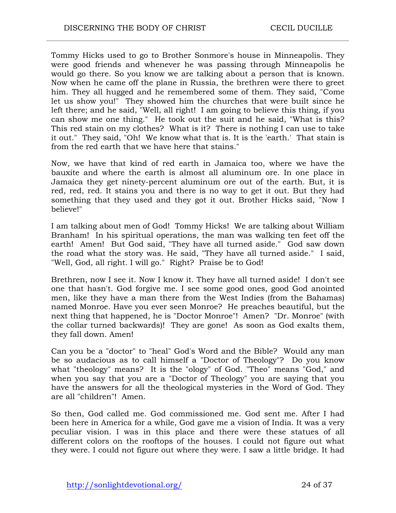Tommy Hicks used to go to Brother Sonmore's house in Minneapolis. They were good friends and whenever he was passing through Minneapolis he would go there. So you know we are talking about a person that is known. Now when he came off the plane in Russia, the brethren were there to greet him. They all hugged and he remembered some of them. They said, "Come let us show you!" They showed him the churches that were built since he left there; and he said, "Well, all right! I am going to believe this thing, if you can show me one thing." He took out the suit and he said, "What is this? This red stain on my clothes? What is it? There is nothing I can use to take it out." They said, "Oh! We know what that is. It is the 'earth.' That stain is from the red earth that we have here that stains."

Now, we have that kind of red earth in Jamaica too, where we have the bauxite and where the earth is almost all aluminum ore. In one place in Jamaica they get ninety-percent aluminum ore out of the earth. But, it is red, red, red. It stains you and there is no way to get it out. But they had something that they used and they got it out. Brother Hicks said, "Now I believe!"

I am talking about men of God! Tommy Hicks! We are talking about William Branham! In his spiritual operations, the man was walking ten feet off the earth! Amen! But God said, "They have all turned aside." God saw down the road what the story was. He said, "They have all turned aside." I said, "Well, God, all right. I will go." Right? Praise be to God!

Brethren, now I see it. Now I know it. They have all turned aside! I don't see one that hasn't. God forgive me. I see some good ones, good God anointed men, like they have a man there from the West Indies (from the Bahamas) named Monroe. Have you ever seen Monroe? He preaches beautiful, but the next thing that happened, he is "Doctor Monroe"! Amen? "Dr. Monroe" (with the collar turned backwards)! They are gone! As soon as God exalts them, they fall down. Amen!

Can you be a "doctor" to "heal" God's Word and the Bible? Would any man be so audacious as to call himself a "Doctor of Theology"? Do you know what "theology" means? It is the "ology" of God. "Theo" means "God," and when you say that you are a "Doctor of Theology" you are saying that you have the answers for all the theological mysteries in the Word of God. They are all "children"! Amen.

So then, God called me. God commissioned me. God sent me. After I had been here in America for a while, God gave me a vision of India. It was a very peculiar vision. I was in this place and there were these statues of all different colors on the rooftops of the houses. I could not figure out what they were. I could not figure out where they were. I saw a little bridge. It had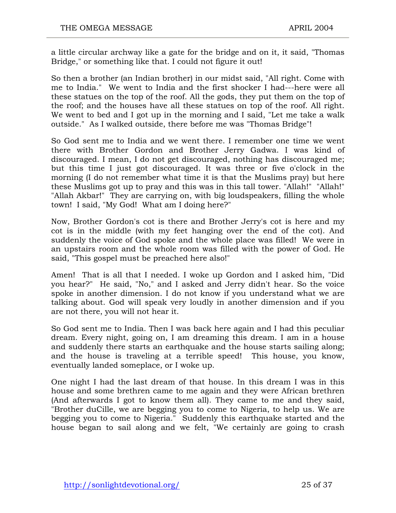a little circular archway like a gate for the bridge and on it, it said, "Thomas Bridge," or something like that. I could not figure it out!

So then a brother (an Indian brother) in our midst said, "All right. Come with me to India." We went to India and the first shocker I had---here were all these statues on the top of the roof. All the gods, they put them on the top of the roof; and the houses have all these statues on top of the roof. All right. We went to bed and I got up in the morning and I said, "Let me take a walk outside." As I walked outside, there before me was "Thomas Bridge"!

So God sent me to India and we went there. I remember one time we went there with Brother Gordon and Brother Jerry Gadwa. I was kind of discouraged. I mean, I do not get discouraged, nothing has discouraged me; but this time I just got discouraged. It was three or five o'clock in the morning (I do not remember what time it is that the Muslims pray) but here these Muslims got up to pray and this was in this tall tower. "Allah!" "Allah!" "Allah Akbar!" They are carrying on, with big loudspeakers, filling the whole town! I said, "My God! What am I doing here?"

Now, Brother Gordon's cot is there and Brother Jerry's cot is here and my cot is in the middle (with my feet hanging over the end of the cot). And suddenly the voice of God spoke and the whole place was filled! We were in an upstairs room and the whole room was filled with the power of God. He said, "This gospel must be preached here also!"

Amen! That is all that I needed. I woke up Gordon and I asked him, "Did you hear?" He said, "No," and I asked and Jerry didn't hear. So the voice spoke in another dimension. I do not know if you understand what we are talking about. God will speak very loudly in another dimension and if you are not there, you will not hear it.

So God sent me to India. Then I was back here again and I had this peculiar dream. Every night, going on, I am dreaming this dream. I am in a house and suddenly there starts an earthquake and the house starts sailing along; and the house is traveling at a terrible speed! This house, you know, eventually landed someplace, or I woke up.

One night I had the last dream of that house. In this dream I was in this house and some brethren came to me again and they were African brethren (And afterwards I got to know them all). They came to me and they said, "Brother duCille, we are begging you to come to Nigeria, to help us. We are begging you to come to Nigeria." Suddenly this earthquake started and the house began to sail along and we felt, "We certainly are going to crash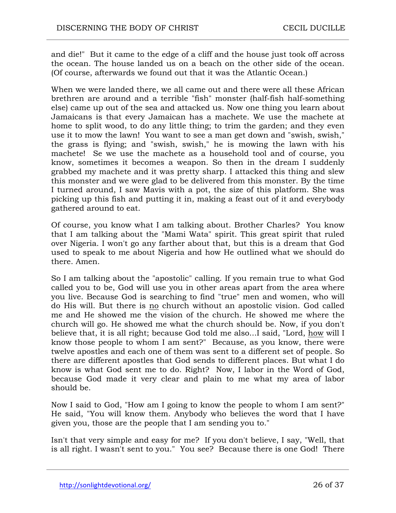and die!" But it came to the edge of a cliff and the house just took off across the ocean. The house landed us on a beach on the other side of the ocean. (Of course, afterwards we found out that it was the Atlantic Ocean.)

When we were landed there, we all came out and there were all these African brethren are around and a terrible "fish" monster (half-fish half-something else) came up out of the sea and attacked us. Now one thing you learn about Jamaicans is that every Jamaican has a machete. We use the machete at home to split wood, to do any little thing; to trim the garden; and they even use it to mow the lawn! You want to see a man get down and "swish, swish," the grass is flying; and "swish, swish," he is mowing the lawn with his machete! Se we use the machete as a household tool and of course, you know, sometimes it becomes a weapon. So then in the dream I suddenly grabbed my machete and it was pretty sharp. I attacked this thing and slew this monster and we were glad to be delivered from this monster. By the time I turned around, I saw Mavis with a pot, the size of this platform. She was picking up this fish and putting it in, making a feast out of it and everybody gathered around to eat.

Of course, you know what I am talking about. Brother Charles? You know that I am talking about the "Mami Wata" spirit. This great spirit that ruled over Nigeria. I won't go any farther about that, but this is a dream that God used to speak to me about Nigeria and how He outlined what we should do there. Amen.

So I am talking about the "apostolic" calling. If you remain true to what God called you to be, God will use you in other areas apart from the area where you live. Because God is searching to find "true" men and women, who will do His will. But there is no church without an apostolic vision. God called me and He showed me the vision of the church. He showed me where the church will go. He showed me what the church should be. Now, if you don't believe that, it is all right; because God told me also...I said, "Lord, how will I know those people to whom I am sent?" Because, as you know, there were twelve apostles and each one of them was sent to a different set of people. So there are different apostles that God sends to different places. But what I do know is what God sent me to do. Right? Now, I labor in the Word of God, because God made it very clear and plain to me what my area of labor should be.

Now I said to God, "How am I going to know the people to whom I am sent?" He said, "You will know them. Anybody who believes the word that I have given you, those are the people that I am sending you to."

Isn't that very simple and easy for me? If you don't believe, I say, "Well, that is all right. I wasn't sent to you." You see? Because there is one God! There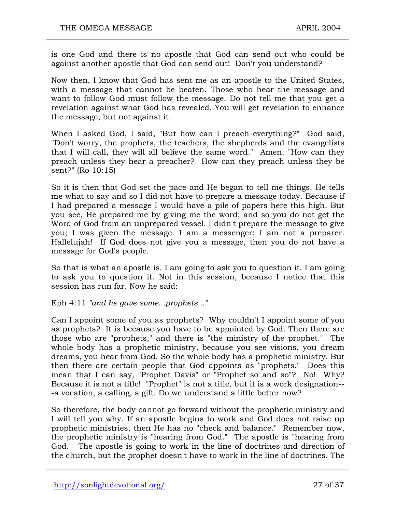is one God and there is no apostle that God can send out who could be against another apostle that God can send out! Don't you understand?

Now then, I know that God has sent me as an apostle to the United States, with a message that cannot be beaten. Those who hear the message and want to follow God must follow the message. Do not tell me that you get a revelation against what God has revealed. You will get revelation to enhance the message, but not against it.

When I asked God, I said, "But how can I preach everything?" God said, "Don't worry, the prophets, the teachers, the shepherds and the evangelists that I will call, they will all believe the same word." Amen. "How can they preach unless they hear a preacher? How can they preach unless they be sent?" (Ro 10:15)

So it is then that God set the pace and He began to tell me things. He tells me what to say and so I did not have to prepare a message today. Because if I had prepared a message I would have a pile of papers here this high. But you see, He prepared me by giving me the word; and so you do not get the Word of God from an unprepared vessel. I didn't prepare the message to give you; I was given the message. I am a messenger; I am not a preparer. Hallelujah! If God does not give you a message, then you do not have a message for God's people.

So that is what an apostle is. I am going to ask you to question it. I am going to ask you to question it. Not in this session, because I notice that this session has run far. Now he said:

Eph 4:11 *"and he gave some...prophets..."*

Can I appoint some of you as prophets? Why couldn't I appoint some of you as prophets? It is because you have to be appointed by God. Then there are those who are "prophets," and there is "the ministry of the prophet." The whole body has a prophetic ministry, because you see visions, you dream dreams, you hear from God. So the whole body has a prophetic ministry. But then there are certain people that God appoints as "prophets." Does this mean that I can say, "Prophet Davis" or "Prophet so and so"? No! Why? Because it is not a title! "Prophet" is not a title, but it is a work designation-- -a vocation, a calling, a gift. Do we understand a little better now?

So therefore, the body cannot go forward without the prophetic ministry and I will tell you why. If an apostle begins to work and God does not raise up prophetic ministries, then He has no "check and balance." Remember now, the prophetic ministry is "hearing from God." The apostle is "hearing from God." The apostle is going to work in the line of doctrines and direction of the church, but the prophet doesn't have to work in the line of doctrines. The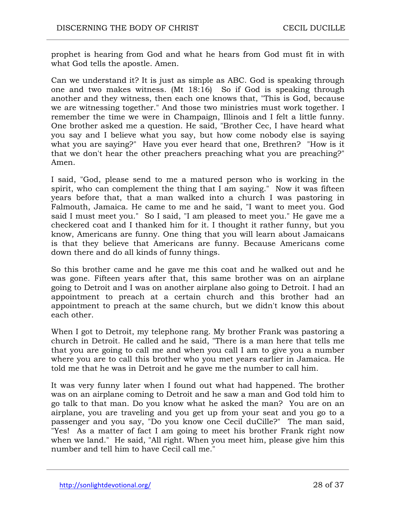prophet is hearing from God and what he hears from God must fit in with what God tells the apostle. Amen.

Can we understand it? It is just as simple as ABC. God is speaking through one and two makes witness. (Mt 18:16) So if God is speaking through another and they witness, then each one knows that, "This is God, because we are witnessing together." And those two ministries must work together. I remember the time we were in Champaign, Illinois and I felt a little funny. One brother asked me a question. He said, "Brother Cec, I have heard what you say and I believe what you say, but how come nobody else is saying what you are saying?" Have you ever heard that one, Brethren? "How is it that we don't hear the other preachers preaching what you are preaching?" Amen.

I said, "God, please send to me a matured person who is working in the spirit, who can complement the thing that I am saying." Now it was fifteen years before that, that a man walked into a church I was pastoring in Falmouth, Jamaica. He came to me and he said, "I want to meet you. God said I must meet you." So I said, "I am pleased to meet you." He gave me a checkered coat and I thanked him for it. I thought it rather funny, but you know, Americans are funny. One thing that you will learn about Jamaicans is that they believe that Americans are funny. Because Americans come down there and do all kinds of funny things.

So this brother came and he gave me this coat and he walked out and he was gone. Fifteen years after that, this same brother was on an airplane going to Detroit and I was on another airplane also going to Detroit. I had an appointment to preach at a certain church and this brother had an appointment to preach at the same church, but we didn't know this about each other.

When I got to Detroit, my telephone rang. My brother Frank was pastoring a church in Detroit. He called and he said, "There is a man here that tells me that you are going to call me and when you call I am to give you a number where you are to call this brother who you met years earlier in Jamaica. He told me that he was in Detroit and he gave me the number to call him.

It was very funny later when I found out what had happened. The brother was on an airplane coming to Detroit and he saw a man and God told him to go talk to that man. Do you know what he asked the man? You are on an airplane, you are traveling and you get up from your seat and you go to a passenger and you say, "Do you know one Cecil duCille?" The man said, "Yes! As a matter of fact I am going to meet his brother Frank right now when we land." He said, "All right. When you meet him, please give him this number and tell him to have Cecil call me."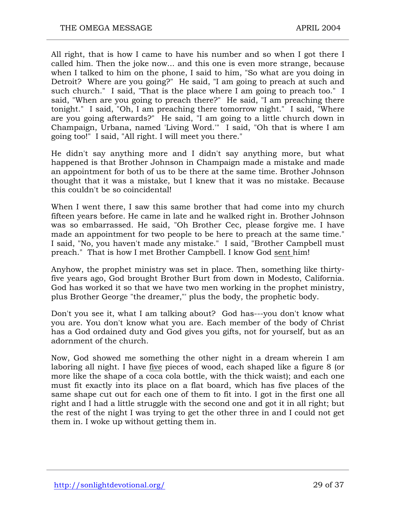All right, that is how I came to have his number and so when I got there I called him. Then the joke now... and this one is even more strange, because when I talked to him on the phone, I said to him, "So what are you doing in Detroit? Where are you going?" He said, "I am going to preach at such and such church." I said, "That is the place where I am going to preach too." I said, "When are you going to preach there?" He said, "I am preaching there tonight." I said, "Oh, I am preaching there tomorrow night." I said, "Where are you going afterwards?" He said, "I am going to a little church down in Champaign, Urbana, named 'Living Word.'" I said, "Oh that is where I am going too!" I said, "All right. I will meet you there."

He didn't say anything more and I didn't say anything more, but what happened is that Brother Johnson in Champaign made a mistake and made an appointment for both of us to be there at the same time. Brother Johnson thought that it was a mistake, but I knew that it was no mistake. Because this couldn't be so coincidental!

When I went there, I saw this same brother that had come into my church fifteen years before. He came in late and he walked right in. Brother Johnson was so embarrassed. He said, "Oh Brother Cec, please forgive me. I have made an appointment for two people to be here to preach at the same time." I said, "No, you haven't made any mistake." I said, "Brother Campbell must preach." That is how I met Brother Campbell. I know God sent him!

Anyhow, the prophet ministry was set in place. Then, something like thirtyfive years ago, God brought Brother Burt from down in Modesto, California. God has worked it so that we have two men working in the prophet ministry, plus Brother George "the dreamer,"' plus the body, the prophetic body.

Don't you see it, what I am talking about? God has---you don't know what you are. You don't know what you are. Each member of the body of Christ has a God ordained duty and God gives you gifts, not for yourself, but as an adornment of the church.

Now, God showed me something the other night in a dream wherein I am laboring all night. I have five pieces of wood, each shaped like a figure 8 (or more like the shape of a coca cola bottle, with the thick waist); and each one must fit exactly into its place on a flat board, which has five places of the same shape cut out for each one of them to fit into. I got in the first one all right and I had a little struggle with the second one and got it in all right; but the rest of the night I was trying to get the other three in and I could not get them in. I woke up without getting them in.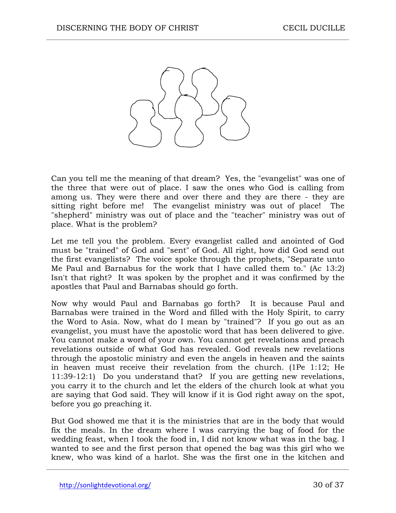

Can you tell me the meaning of that dream? Yes, the "evangelist" was one of the three that were out of place. I saw the ones who God is calling from among us. They were there and over there and they are there - they are sitting right before me! The evangelist ministry was out of place! The "shepherd" ministry was out of place and the "teacher" ministry was out of place. What is the problem?

Let me tell you the problem. Every evangelist called and anointed of God must be "trained" of God and "sent" of God. All right, how did God send out the first evangelists? The voice spoke through the prophets, "Separate unto Me Paul and Barnabus for the work that I have called them to." (Ac 13:2) Isn't that right? It was spoken by the prophet and it was confirmed by the apostles that Paul and Barnabas should go forth.

Now why would Paul and Barnabas go forth? It is because Paul and Barnabas were trained in the Word and filled with the Holy Spirit, to carry the Word to Asia. Now, what do I mean by "trained"? If you go out as an evangelist, you must have the apostolic word that has been delivered to give. You cannot make a word of your own. You cannot get revelations and preach revelations outside of what God has revealed. God reveals new revelations through the apostolic ministry and even the angels in heaven and the saints in heaven must receive their revelation from the church. (1Pe 1:12; He 11:39-12:1) Do you understand that? If you are getting new revelations, you carry it to the church and let the elders of the church look at what you are saying that God said. They will know if it is God right away on the spot, before you go preaching it.

But God showed me that it is the ministries that are in the body that would fix the meals. In the dream where I was carrying the bag of food for the wedding feast, when I took the food in, I did not know what was in the bag. I wanted to see and the first person that opened the bag was this girl who we knew, who was kind of a harlot. She was the first one in the kitchen and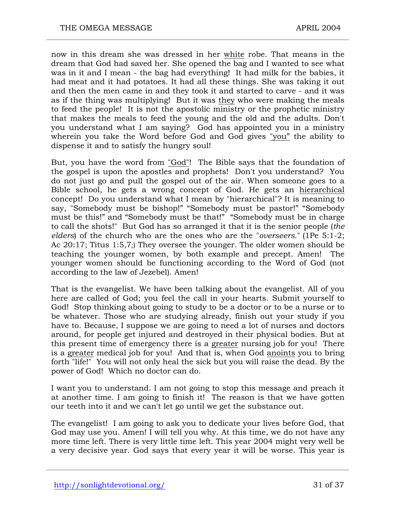now in this dream she was dressed in her white robe. That means in the dream that God had saved her. She opened the bag and I wanted to see what was in it and I mean - the bag had everything! It had milk for the babies, it had meat and it had potatoes. It had all these things. She was taking it out and then the men came in and they took it and started to carve - and it was as if the thing was multiplying! But it was they who were making the meals to feed the people! It is not the apostolic ministry or the prophetic ministry that makes the meals to feed the young and the old and the adults. Don't you understand what I am saying? God has appointed you in a ministry wherein you take the Word before God and God gives "you" the ability to dispense it and to satisfy the hungry soul!

But, you have the word from "God"! The Bible says that the foundation of the gospel is upon the apostles and prophets! Don't you understand? You do not just go and pull the gospel out of the air. When someone goes to a Bible school, he gets a wrong concept of God. He gets an hierarchical concept! Do you understand what I mean by "hierarchical"? It is meaning to say, "Somebody must be bishop!" "Somebody must be pastor!" "Somebody must be this!" and "Somebody must be that!" "Somebody must be in charge to call the shots!" But God has so arranged it that it is the senior people (*the elders*) of the church who are the ones who are the "*overseers*." (1Pe 5:1-2; Ac 20:17; Titus 1:5,7;) They oversee the younger. The older women should be teaching the younger women, by both example and precept. Amen! The younger women should be functioning according to the Word of God (not according to the law of Jezebel). Amen!

That is the evangelist. We have been talking about the evangelist. All of you here are called of God; you feel the call in your hearts. Submit yourself to God! Stop thinking about going to study to be a doctor or to be a nurse or to be whatever. Those who are studying already, finish out your study if you have to. Because, I suppose we are going to need a lot of nurses and doctors around, for people get injured and destroyed in their physical bodies. But at this present time of emergency there is a greater nursing job for you! There is a greater medical job for you! And that is, when God anoints you to bring forth "life!" You will not only heal the sick but you will raise the dead. By the power of God! Which no doctor can do.

I want you to understand. I am not going to stop this message and preach it at another time. I am going to finish it! The reason is that we have gotten our teeth into it and we can't let go until we get the substance out.

The evangelist! I am going to ask you to dedicate your lives before God, that God may use you. Amen! I will tell you why. At this time, we do not have any more time left. There is very little time left. This year 2004 might very well be a very decisive year. God says that every year it will be worse. This year is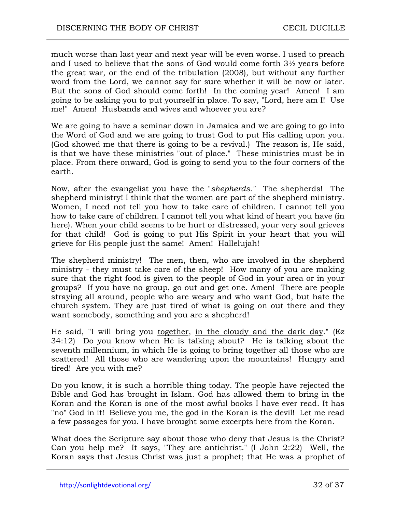much worse than last year and next year will be even worse. I used to preach and I used to believe that the sons of God would come forth 3½ years before the great war, or the end of the tribulation (2008), but without any further word from the Lord, we cannot say for sure whether it will be now or later. But the sons of God should come forth! In the coming year! Amen! I am going to be asking you to put yourself in place. To say, "Lord, here am I! Use me!" Amen! Husbands and wives and whoever you are?

We are going to have a seminar down in Jamaica and we are going to go into the Word of God and we are going to trust God to put His calling upon you. (God showed me that there is going to be a revival.) The reason is, He said, is that we have these ministries "out of place." These ministries must be in place. From there onward, God is going to send you to the four corners of the earth.

Now, after the evangelist you have the "*shepherds."* The shepherds! The shepherd ministry! I think that the women are part of the shepherd ministry. Women, I need not tell you how to take care of children. I cannot tell you how to take care of children. I cannot tell you what kind of heart you have (in here). When your child seems to be hurt or distressed, your very soul grieves for that child! God is going to put His Spirit in your heart that you will grieve for His people just the same! Amen! Hallelujah!

The shepherd ministry! The men, then, who are involved in the shepherd ministry - they must take care of the sheep! How many of you are making sure that the right food is given to the people of God in your area or in your groups? If you have no group, go out and get one. Amen! There are people straying all around, people who are weary and who want God, but hate the church system. They are just tired of what is going on out there and they want somebody, something and you are a shepherd!

He said, "I will bring you together, in the cloudy and the dark day." (Ez 34:12) Do you know when He is talking about? He is talking about the seventh millennium, in which He is going to bring together all those who are scattered! All those who are wandering upon the mountains! Hungry and tired! Are you with me?

Do you know, it is such a horrible thing today. The people have rejected the Bible and God has brought in Islam. God has allowed them to bring in the Koran and the Koran is one of the most awful books I have ever read. It has "no" God in it! Believe you me, the god in the Koran is the devil! Let me read a few passages for you. I have brought some excerpts here from the Koran.

What does the Scripture say about those who deny that Jesus is the Christ? Can you help me? It says, "They are antichrist." (I John 2:22) Well, the Koran says that Jesus Christ was just a prophet; that He was a prophet of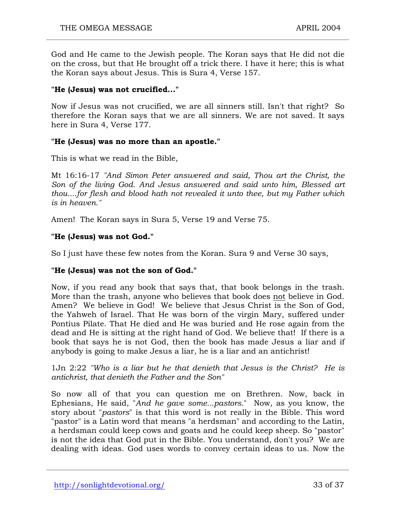God and He came to the Jewish people. The Koran says that He did not die on the cross, but that He brought off a trick there. I have it here; this is what the Koran says about Jesus. This is Sura 4, Verse 157.

#### **"He (Jesus) was not crucified..."**

Now if Jesus was not crucified, we are all sinners still. Isn't that right? So therefore the Koran says that we are all sinners. We are not saved. It says here in Sura 4, Verse 177.

#### **"He (Jesus) was no more than an apostle."**

This is what we read in the Bible,

Mt 16:16-17 *"And Simon Peter answered and said, Thou art the Christ, the Son of the living God. And Jesus answered and said unto him, Blessed art thou....for flesh and blood hath not revealed it unto thee, but my Father which is in heaven."*

Amen! The Koran says in Sura 5, Verse 19 and Verse 75.

#### **"He (Jesus) was not God."**

So I just have these few notes from the Koran. Sura 9 and Verse 30 says,

### **"He (Jesus) was not the son of God."**

Now, if you read any book that says that, that book belongs in the trash. More than the trash, anyone who believes that book does not believe in God. Amen? We believe in God! We believe that Jesus Christ is the Son of God, the Yahweh of Israel. That He was born of the virgin Mary, suffered under Pontius Pilate. That He died and He was buried and He rose again from the dead and He is sitting at the right hand of God. We believe that! If there is a book that says he is not God, then the book has made Jesus a liar and if anybody is going to make Jesus a liar, he is a liar and an antichrist!

1Jn 2:22 *"Who is a liar but he that denieth that Jesus is the Christ? He is antichrist, that denieth the Father and the Son"*

So now all of that you can question me on Brethren. Now, back in Ephesians, He said, "*And he gave some...pastors.*" Now, as you know, the story about "*pastors*" is that this word is not really in the Bible. This word "pastor" is a Latin word that means "a herdsman" and according to the Latin, a herdsman could keep cows and goats and he could keep sheep. So "pastor" is not the idea that God put in the Bible. You understand, don't you? We are dealing with ideas. God uses words to convey certain ideas to us. Now the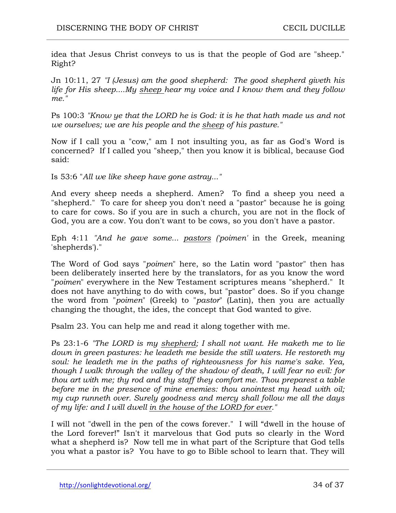idea that Jesus Christ conveys to us is that the people of God are "sheep." Right?

Jn 10:11, 27 *"I (Jesus) am the good shepherd: The good shepherd giveth his life for His sheep....My sheep hear my voice and I know them and they follow me."*

Ps 100:3 *"Know ye that the LORD he is God: it is he that hath made us and not we ourselves; we are his people and the sheep of his pasture."*

Now if I call you a "cow," am I not insulting you, as far as God's Word is concerned? If I called you "sheep," then you know it is biblical, because God said:

Is 53:6 "*All we like sheep have gone astray..."* 

And every sheep needs a shepherd. Amen? To find a sheep you need a "shepherd." To care for sheep you don't need a "pastor" because he is going to care for cows. So if you are in such a church, you are not in the flock of God, you are a cow. You don't want to be cows, so you don't have a pastor.

Eph 4:11 *"And he gave some... pastors ('poimen'* in the Greek, meaning 'shepherds')."

The Word of God says "*poimen*" here, so the Latin word "pastor" then has been deliberately inserted here by the translators, for as you know the word "*poimen*" everywhere in the New Testament scriptures means "shepherd." It does not have anything to do with cows, but "pastor" does. So if you change the word from "*poimen*" (Greek) to "*pastor*" (Latin), then you are actually changing the thought, the ides, the concept that God wanted to give.

Psalm 23. You can help me and read it along together with me.

Ps 23:1-6 *"The LORD is my shepherd; I shall not want. He maketh me to lie*  down in green pastures: he leadeth me beside the still waters. He restoreth my *soul: he leadeth me in the paths of righteousness for his name's sake. Yea, though I walk through the valley of the shadow of death, I will fear no evil: for thou art with me; thy rod and thy staff they comfort me. Thou preparest a table before me in the presence of mine enemies: thou anointest my head with oil; my cup runneth over. Surely goodness and mercy shall follow me all the days of my life: and I will dwell in the house of the LORD for ever."*

I will not "dwell in the pen of the cows forever." I will "dwell in the house of the Lord forever!" Isn't it marvelous that God puts so clearly in the Word what a shepherd is? Now tell me in what part of the Scripture that God tells you what a pastor is? You have to go to Bible school to learn that. They will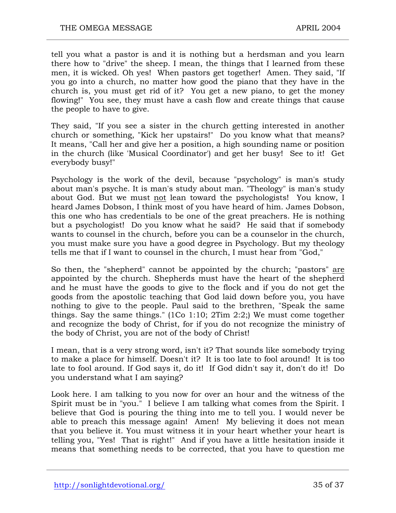tell you what a pastor is and it is nothing but a herdsman and you learn there how to "drive" the sheep. I mean, the things that I learned from these men, it is wicked. Oh yes! When pastors get together! Amen. They said, "If you go into a church, no matter how good the piano that they have in the church is, you must get rid of it? You get a new piano, to get the money flowing!" You see, they must have a cash flow and create things that cause the people to have to give.

They said, "If you see a sister in the church getting interested in another church or something, "Kick her upstairs!" Do you know what that means? It means, "Call her and give her a position, a high sounding name or position in the church (like 'Musical Coordinator') and get her busy! See to it! Get everybody busy!"

Psychology is the work of the devil, because "psychology" is man's study about man's psyche. It is man's study about man. "Theology" is man's study about God. But we must not lean toward the psychologists! You know, I heard James Dobson, I think most of you have heard of him. James Dobson, this one who has credentials to be one of the great preachers. He is nothing but a psychologist! Do you know what he said? He said that if somebody wants to counsel in the church, before you can be a counselor in the church, you must make sure you have a good degree in Psychology. But my theology tells me that if I want to counsel in the church, I must hear from "God,"

So then, the "shepherd" cannot be appointed by the church; "pastors" are appointed by the church. Shepherds must have the heart of the shepherd and he must have the goods to give to the flock and if you do not get the goods from the apostolic teaching that God laid down before you, you have nothing to give to the people. Paul said to the brethren, "Speak the same things. Say the same things." (1Co 1:10; 2Tim 2:2;) We must come together and recognize the body of Christ, for if you do not recognize the ministry of the body of Christ, you are not of the body of Christ!

I mean, that is a very strong word, isn't it? That sounds like somebody trying to make a place for himself. Doesn't it? It is too late to fool around! It is too late to fool around. If God says it, do it! If God didn't say it, don't do it! Do you understand what I am saying?

Look here. I am talking to you now for over an hour and the witness of the Spirit must be in "you." I believe I am talking what comes from the Spirit. I believe that God is pouring the thing into me to tell you. I would never be able to preach this message again! Amen! My believing it does not mean that you believe it. You must witness it in your heart whether your heart is telling you, "Yes! That is right!" And if you have a little hesitation inside it means that something needs to be corrected, that you have to question me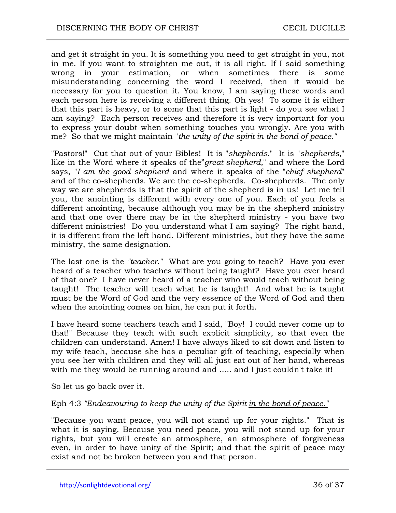and get it straight in you. It is something you need to get straight in you, not in me. If you want to straighten me out, it is all right. If I said something wrong in your estimation, or when sometimes there is some misunderstanding concerning the word I received, then it would be necessary for you to question it. You know, I am saying these words and each person here is receiving a different thing. Oh yes! To some it is either that this part is heavy, or to some that this part is light - do you see what I am saying? Each person receives and therefore it is very important for you to express your doubt when something touches you wrongly. Are you with me? So that we might maintain "*the unity of the spirit in the bond of peace."*

"Pastors!" Cut that out of your Bibles! It is "*shepherds.*" It is "*shepherds,*" like in the Word where it speaks of the"*great shepherd,*" and where the Lord says, "*I am the good shepherd* and where it speaks of the "*chief shepherd*" and of the co-shepherds. We are the co-shepherds. Co-shepherds. The only way we are shepherds is that the spirit of the shepherd is in us! Let me tell you, the anointing is different with every one of you. Each of you feels a different anointing, because although you may be in the shepherd ministry and that one over there may be in the shepherd ministry - you have two different ministries! Do you understand what I am saying? The right hand, it is different from the left hand. Different ministries, but they have the same ministry, the same designation.

The last one is the *"teacher."* What are you going to teach? Have you ever heard of a teacher who teaches without being taught? Have you ever heard of that one? I have never heard of a teacher who would teach without being taught! The teacher will teach what he is taught! And what he is taught must be the Word of God and the very essence of the Word of God and then when the anointing comes on him, he can put it forth.

I have heard some teachers teach and I said, "Boy! I could never come up to that!" Because they teach with such explicit simplicity, so that even the children can understand. Amen! I have always liked to sit down and listen to my wife teach, because she has a peculiar gift of teaching, especially when you see her with children and they will all just eat out of her hand, whereas with me they would be running around and ..... and I just couldn't take it!

So let us go back over it.

#### Eph 4:3 *"Endeavouring to keep the unity of the Spirit in the bond of peace."*

"Because you want peace, you will not stand up for your rights." That is what it is saying. Because you need peace, you will not stand up for your rights, but you will create an atmosphere, an atmosphere of forgiveness even, in order to have unity of the Spirit; and that the spirit of peace may exist and not be broken between you and that person.